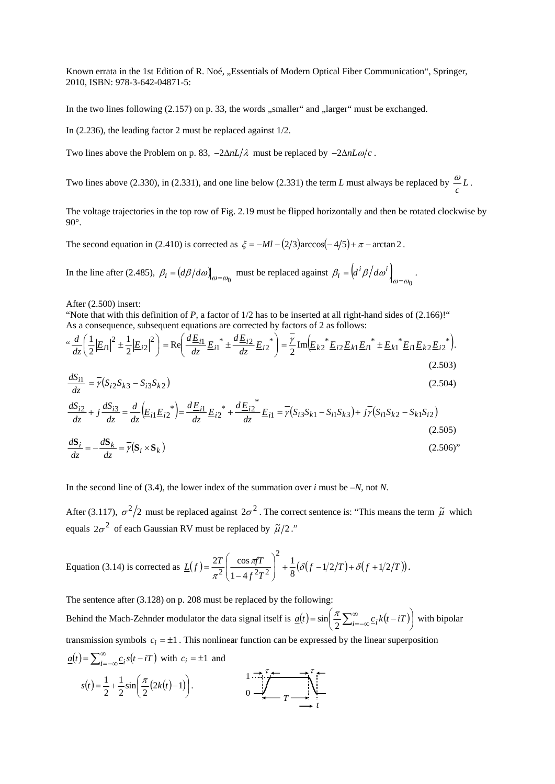Known errata in the 1st Edition of R. Noé, "Essentials of Modern Optical Fiber Communication", Springer, 2010, ISBN: 978-3-642-04871-5:

In the two lines following  $(2.157)$  on p. 33, the words "smaller" and "larger" must be exchanged.

In (2.236), the leading factor 2 must be replaced against 1/2.

Two lines above the Problem on p. 83,  $-2\Delta nL/\lambda$  must be replaced by  $-2\Delta nL\omega/c$ .

Two lines above (2.330), in (2.331), and one line below (2.331) the term *L* must always be replaced by  $\frac{\omega}{c}L$ .

The voltage trajectories in the top row of Fig. 2.19 must be flipped horizontally and then be rotated clockwise by 90°.

The second equation in (2.410) is corrected as  $\zeta = -Ml - (2/3)\arccos(-4/5) + \pi - \arctan 2$ .

In the line after (2.485),  $\beta_i = (d\beta/d\omega)_{\omega=\omega_0}$  must be replaced against  $\beta_i = (d^i\beta/d\omega^i)_{\omega=\omega_0}$ .

After (2.500) insert:

"Note that with this definition of  $P$ , a factor of  $1/2$  has to be inserted at all right-hand sides of  $(2.166)$ !" As a consequence, subsequent equations are corrected by factors of 2 as follows:

$$
\frac{d}{dz} \left( \frac{1}{2} \left| E_{i1} \right|^{2} \pm \frac{1}{2} \left| E_{i2} \right|^{2} \right) = \text{Re} \left( \frac{d E_{i1}}{dz} E_{i1}^{*} \pm \frac{d E_{i2}}{dz} E_{i2}^{*} \right) = \frac{\gamma}{2} \text{Im} \left( E_{k2}^{*} E_{i2} E_{k1} E_{i1}^{*} \pm E_{k1}^{*} E_{i1} E_{k2} E_{i2}^{*} \right).
$$
\n(2.503)

$$
\frac{dS_{i1}}{dz} = \overline{\gamma}(S_{i2}S_{k3} - S_{i3}S_{k2})
$$
\n(2.504)

$$
\frac{dS_{i2}}{dz} + j\frac{dS_{i3}}{dz} = \frac{d}{dz} \left( E_{i1} E_{i2}^* \right) = \frac{d E_{i1}}{dz} E_{i2}^* + \frac{d E_{i2}^*}{dz} E_{i1} = \overline{\gamma} (S_{i3} S_{k1} - S_{i1} S_{k3}) + j\overline{\gamma} (S_{i1} S_{k2} - S_{k1} S_{i2})
$$
\n(2.505)

$$
\frac{d\mathbf{S}_i}{dz} = -\frac{d\mathbf{S}_k}{dz} = \overline{\gamma} (\mathbf{S}_i \times \mathbf{S}_k)
$$
\n(2.506)

In the second line of (3.4), the lower index of the summation over  $i$  must be  $-N$ , not  $N$ .

After (3.117),  $\sigma^2/2$  must be replaced against  $2\sigma^2$ . The correct sentence is: "This means the term  $\tilde{\mu}$  which equals  $2\sigma^2$  of each Gaussian RV must be replaced by  $\tilde{\mu}/2$ ."

Equation (3.14) is corrected as 
$$
\underline{L}(f) = \frac{2T}{\pi^2} \left( \frac{\cos \pi T}{1 - 4f^2 T^2} \right)^2 + \frac{1}{8} (\delta (f - 1/2/T) + \delta (f + 1/2/T)).
$$

The sentence after (3.128) on p. 208 must be replaced by the following: Behind the Mach-Zehnder modulator the data signal itself is  $a(t) = \sin \left( \frac{\lambda}{2} \sum_{i=-\infty}^{\infty} c_i k(t-iT) \right)$ )  $\left(\frac{\pi}{2}\sum_{i=-\infty}^{\infty} \frac{c_i k(t-iT)}{i\sigma} \right)$  $\underline{a}(t) = \sin\left(\frac{\pi}{2}\sum_{i=-\infty}^{\infty} \underline{c}_i k(t-iT)\right)$  with bipolar transmission symbols  $c_i = \pm 1$ . This nonlinear function can be expressed by the linear superposition  $\underline{a}(t) = \sum_{i=-\infty}^{\infty} \underline{c}_i s(t - iT)$  with  $c_i = \pm 1$  and τ τ

$$
s(t) = \frac{1}{2} + \frac{1}{2}\sin\left(\frac{\pi}{2}(2k(t)-1)\right).
$$